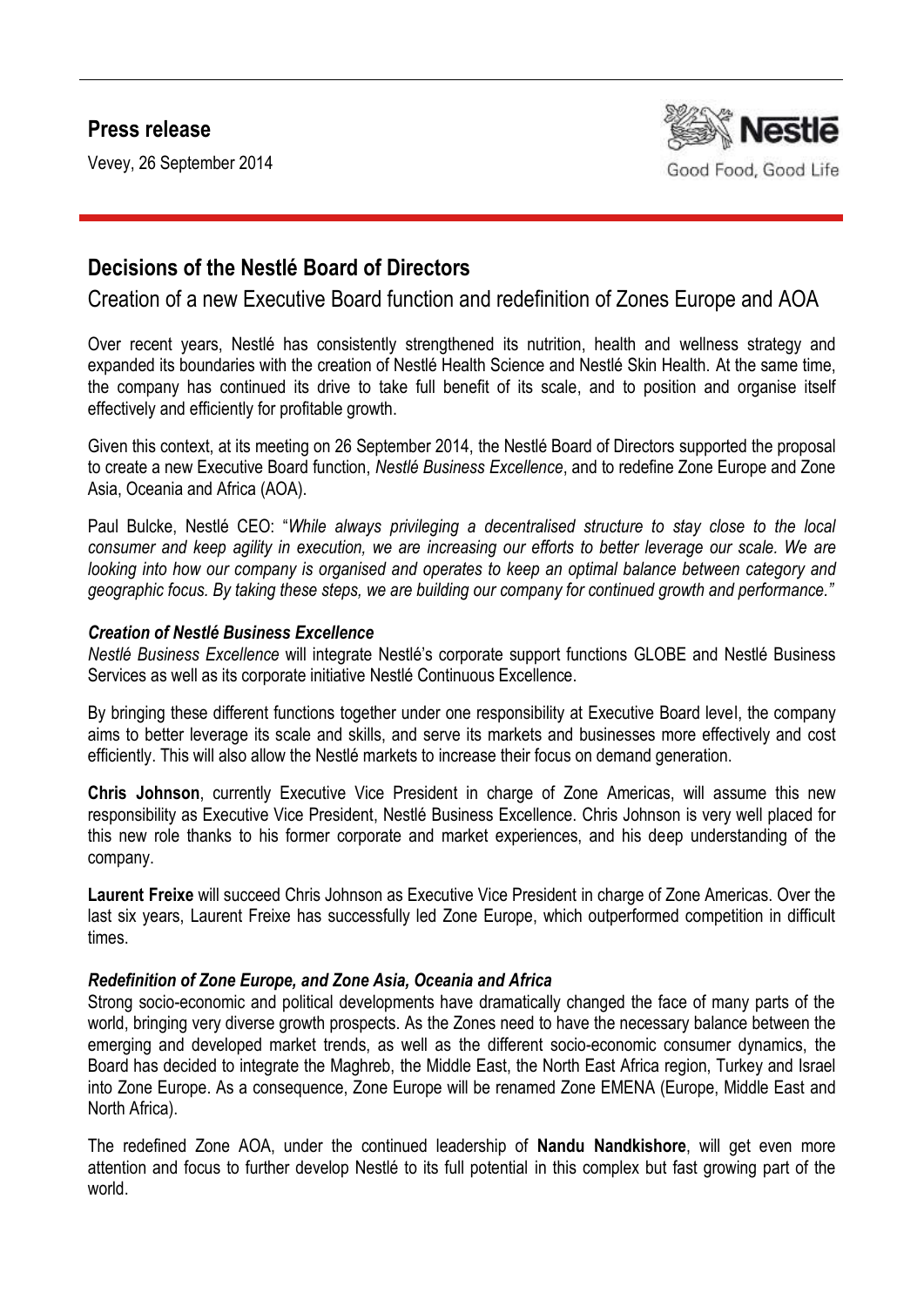## **Press release**

Vevey, 26 September 2014



## **Decisions of the Nestlé Board of Directors**

Creation of a new Executive Board function and redefinition of Zones Europe and AOA

Over recent years, Nestlé has consistently strengthened its nutrition, health and wellness strategy and expanded its boundaries with the creation of Nestlé Health Science and Nestlé Skin Health. At the same time, the company has continued its drive to take full benefit of its scale, and to position and organise itself effectively and efficiently for profitable growth.

Given this context, at its meeting on 26 September 2014, the Nestlé Board of Directors supported the proposal to create a new Executive Board function, *Nestlé Business Excellence*, and to redefine Zone Europe and Zone Asia, Oceania and Africa (AOA).

Paul Bulcke, Nestlé CEO: "*While always privileging a decentralised structure to stay close to the local consumer and keep agility in execution, we are increasing our efforts to better leverage our scale. We are looking into how our company is organised and operates to keep an optimal balance between category and geographic focus. By taking these steps, we are building our company for continued growth and performance."*

## *Creation of Nestlé Business Excellence*

*Nestlé Business Excellence* will integrate Nestlé's corporate support functions GLOBE and Nestlé Business Services as well as its corporate initiative Nestlé Continuous Excellence.

By bringing these different functions together under one responsibility at Executive Board level, the company aims to better leverage its scale and skills, and serve its markets and businesses more effectively and cost efficiently. This will also allow the Nestlé markets to increase their focus on demand generation.

**Chris Johnson**, currently Executive Vice President in charge of Zone Americas, will assume this new responsibility as Executive Vice President, Nestlé Business Excellence. Chris Johnson is very well placed for this new role thanks to his former corporate and market experiences, and his deep understanding of the company.

**Laurent Freixe** will succeed Chris Johnson as Executive Vice President in charge of Zone Americas. Over the last six years, Laurent Freixe has successfully led Zone Europe, which outperformed competition in difficult times.

## *Redefinition of Zone Europe, and Zone Asia, Oceania and Africa*

Strong socio-economic and political developments have dramatically changed the face of many parts of the world, bringing very diverse growth prospects. As the Zones need to have the necessary balance between the emerging and developed market trends, as well as the different socio-economic consumer dynamics, the Board has decided to integrate the Maghreb, the Middle East, the North East Africa region, Turkey and Israel into Zone Europe. As a consequence, Zone Europe will be renamed Zone EMENA (Europe, Middle East and North Africa).

The redefined Zone AOA, under the continued leadership of **Nandu Nandkishore**, will get even more attention and focus to further develop Nestlé to its full potential in this complex but fast growing part of the world.